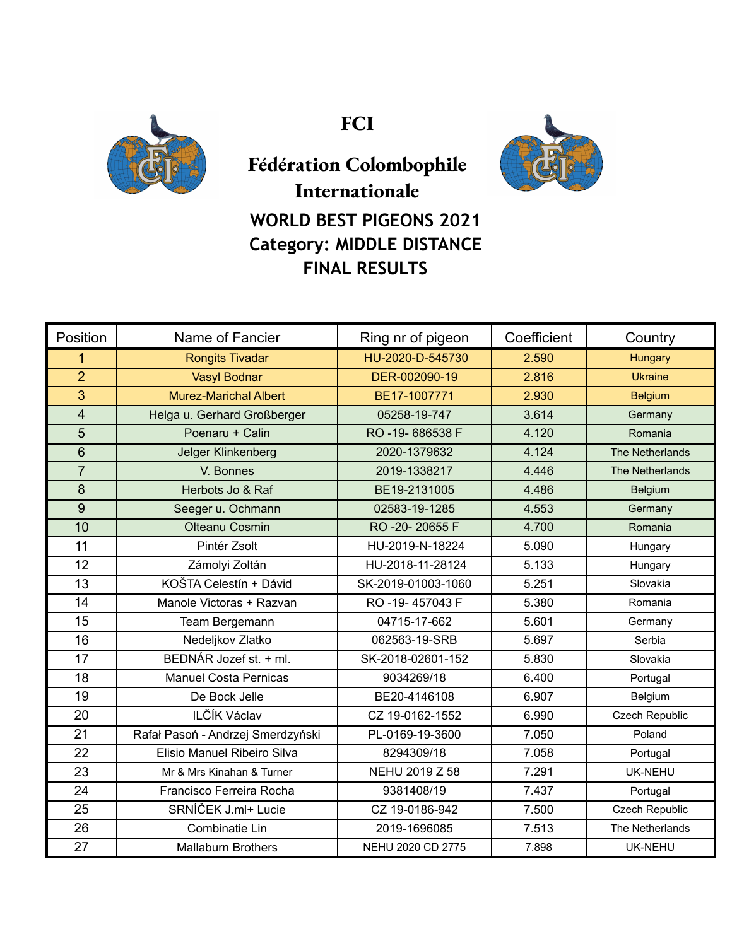

**FCI**



**Fédération Colombophile Internationale WORLD BEST PIGEONS 2021 Category: MIDDLE DISTANCE FINAL RESULTS**

| Position       | Name of Fancier                   | Ring nr of pigeon  | Coefficient | Country         |
|----------------|-----------------------------------|--------------------|-------------|-----------------|
| 1              | <b>Rongits Tivadar</b>            | HU-2020-D-545730   | 2.590       | Hungary         |
| $\overline{2}$ | <b>Vasyl Bodnar</b>               | DER-002090-19      | 2.816       | <b>Ukraine</b>  |
| 3              | <b>Murez-Marichal Albert</b>      | BE17-1007771       | 2.930       | <b>Belgium</b>  |
| $\overline{4}$ | Helga u. Gerhard Großberger       | 05258-19-747       | 3.614       | Germany         |
| 5              | Poenaru + Calin                   | RO-19-686538 F     | 4.120       | Romania         |
| $6\phantom{1}$ | <b>Jelger Klinkenberg</b>         | 2020-1379632       | 4.124       | The Netherlands |
| $\overline{7}$ | V. Bonnes                         | 2019-1338217       | 4.446       | The Netherlands |
| 8              | Herbots Jo & Raf                  | BE19-2131005       | 4.486       | Belgium         |
| 9              | Seeger u. Ochmann                 | 02583-19-1285      | 4.553       | Germany         |
| 10             | <b>Olteanu Cosmin</b>             | RO -20-20655 F     | 4.700       | Romania         |
| 11             | Pintér Zsolt                      | HU-2019-N-18224    | 5.090       | Hungary         |
| 12             | Zámolyi Zoltán                    | HU-2018-11-28124   | 5.133       | Hungary         |
| 13             | KOŠTA Celestín + Dávid            | SK-2019-01003-1060 | 5.251       | Slovakia        |
| 14             | Manole Victoras + Razvan          | RO -19-457043 F    | 5.380       | Romania         |
| 15             | Team Bergemann                    | 04715-17-662       | 5.601       | Germany         |
| 16             | Nedeljkov Zlatko                  | 062563-19-SRB      | 5.697       | Serbia          |
| 17             | BEDNÁR Jozef st. + ml.            | SK-2018-02601-152  | 5.830       | Slovakia        |
| 18             | <b>Manuel Costa Pernicas</b>      | 9034269/18         | 6.400       | Portugal        |
| 19             | De Bock Jelle                     | BE20-4146108       | 6.907       | Belgium         |
| 20             | ILČÍK Václav                      | CZ 19-0162-1552    | 6.990       | Czech Republic  |
| 21             | Rafał Pasoń - Andrzej Smerdzyński | PL-0169-19-3600    | 7.050       | Poland          |
| 22             | Elisio Manuel Ribeiro Silva       | 8294309/18         | 7.058       | Portugal        |
| 23             | Mr & Mrs Kinahan & Turner         | NEHU 2019 Z 58     | 7.291       | UK-NEHU         |
| 24             | Francisco Ferreira Rocha          | 9381408/19         | 7.437       | Portugal        |
| 25             | SRNÍČEK J.ml+ Lucie               | CZ 19-0186-942     | 7.500       | Czech Republic  |
| 26             | Combinatie Lin                    | 2019-1696085       | 7.513       | The Netherlands |
| 27             | <b>Mallaburn Brothers</b>         | NEHU 2020 CD 2775  | 7.898       | UK-NEHU         |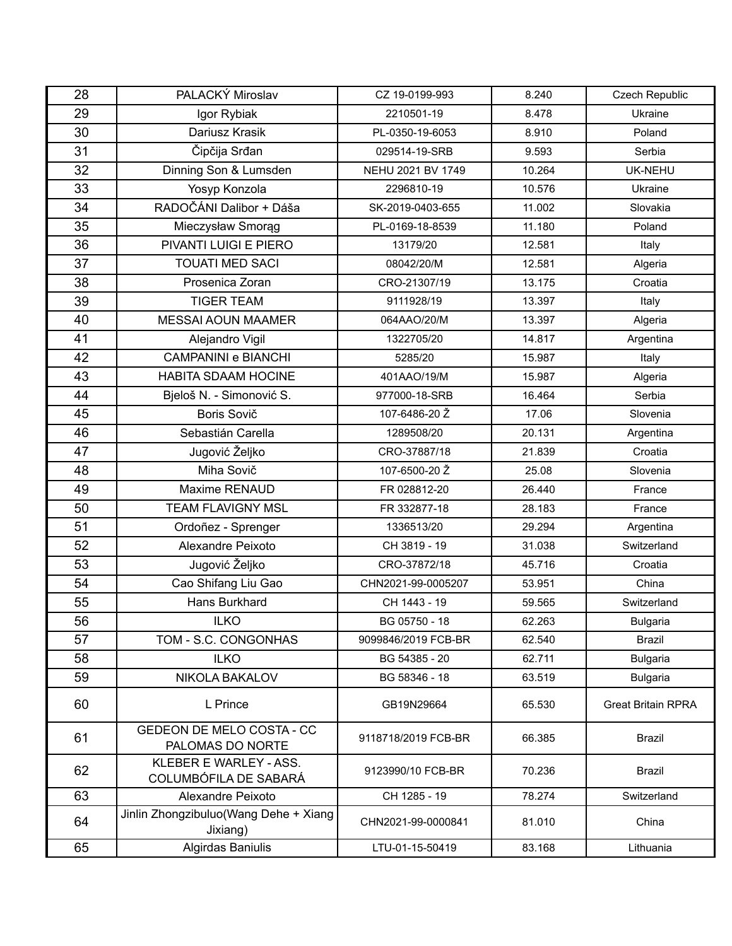| 28 | PALACKÝ Miroslav                                  | CZ 19-0199-993      | 8.240  | Czech Republic            |
|----|---------------------------------------------------|---------------------|--------|---------------------------|
| 29 | Igor Rybiak                                       | 2210501-19          | 8.478  | Ukraine                   |
| 30 | Dariusz Krasik                                    | PL-0350-19-6053     | 8.910  | Poland                    |
| 31 | Čipčija Srđan                                     | 029514-19-SRB       | 9.593  | Serbia                    |
| 32 | Dinning Son & Lumsden                             | NEHU 2021 BV 1749   | 10.264 | <b>UK-NEHU</b>            |
| 33 | Yosyp Konzola                                     | 2296810-19          | 10.576 | Ukraine                   |
| 34 | RADOČÁNI Dalibor + Dáša                           | SK-2019-0403-655    | 11.002 | Slovakia                  |
| 35 | Mieczysław Smorąg                                 | PL-0169-18-8539     | 11.180 | Poland                    |
| 36 | PIVANTI LUIGI E PIERO                             | 13179/20            | 12.581 | Italy                     |
| 37 | <b>TOUATI MED SACI</b>                            | 08042/20/M          | 12.581 | Algeria                   |
| 38 | Prosenica Zoran                                   | CRO-21307/19        | 13.175 | Croatia                   |
| 39 | <b>TIGER TEAM</b>                                 | 9111928/19          | 13.397 | Italy                     |
| 40 | <b>MESSAI AOUN MAAMER</b>                         | 064AAO/20/M         | 13.397 | Algeria                   |
| 41 | Alejandro Vigil                                   | 1322705/20          | 14.817 | Argentina                 |
| 42 | <b>CAMPANINI e BIANCHI</b>                        | 5285/20             | 15.987 | Italy                     |
| 43 | <b>HABITA SDAAM HOCINE</b>                        | 401AAO/19/M         | 15.987 | Algeria                   |
| 44 | Bjeloš N. - Simonović S.                          | 977000-18-SRB       | 16.464 | Serbia                    |
| 45 | Boris Sovič                                       | 107-6486-20 Ž       | 17.06  | Slovenia                  |
| 46 | Sebastián Carella                                 | 1289508/20          | 20.131 | Argentina                 |
| 47 | Jugović Željko                                    | CRO-37887/18        | 21.839 | Croatia                   |
| 48 | Miha Sovič                                        | 107-6500-20 Ž       | 25.08  | Slovenia                  |
| 49 | Maxime RENAUD                                     | FR 028812-20        | 26.440 | France                    |
| 50 | <b>TEAM FLAVIGNY MSL</b>                          | FR 332877-18        | 28.183 | France                    |
| 51 | Ordoñez - Sprenger                                | 1336513/20          | 29.294 | Argentina                 |
| 52 | Alexandre Peixoto                                 | CH 3819 - 19        | 31.038 | Switzerland               |
| 53 | Jugović Željko                                    | CRO-37872/18        | 45.716 | Croatia                   |
| 54 | Cao Shifang Liu Gao                               | CHN2021-99-0005207  | 53.951 | China                     |
| 55 | Hans Burkhard                                     | CH 1443 - 19        | 59.565 | Switzerland               |
| 56 | <b>ILKO</b>                                       | BG 05750 - 18       | 62.263 | <b>Bulgaria</b>           |
| 57 | TOM - S.C. CONGONHAS                              | 9099846/2019 FCB-BR | 62.540 | <b>Brazil</b>             |
| 58 | <b>ILKO</b>                                       | BG 54385 - 20       | 62.711 | <b>Bulgaria</b>           |
| 59 | <b>NIKOLA BAKALOV</b>                             | BG 58346 - 18       | 63.519 | <b>Bulgaria</b>           |
| 60 | L Prince                                          | GB19N29664          | 65.530 | <b>Great Britain RPRA</b> |
| 61 | GEDEON DE MELO COSTA - CC<br>PALOMAS DO NORTE     | 9118718/2019 FCB-BR | 66.385 | <b>Brazil</b>             |
| 62 | KLEBER E WARLEY - ASS.<br>COLUMBÓFILA DE SABARÁ   | 9123990/10 FCB-BR   | 70.236 | <b>Brazil</b>             |
| 63 | Alexandre Peixoto                                 | CH 1285 - 19        | 78.274 | Switzerland               |
| 64 | Jinlin Zhongzibuluo(Wang Dehe + Xiang<br>Jixiang) | CHN2021-99-0000841  | 81.010 | China                     |
| 65 | Algirdas Baniulis                                 | LTU-01-15-50419     | 83.168 | Lithuania                 |